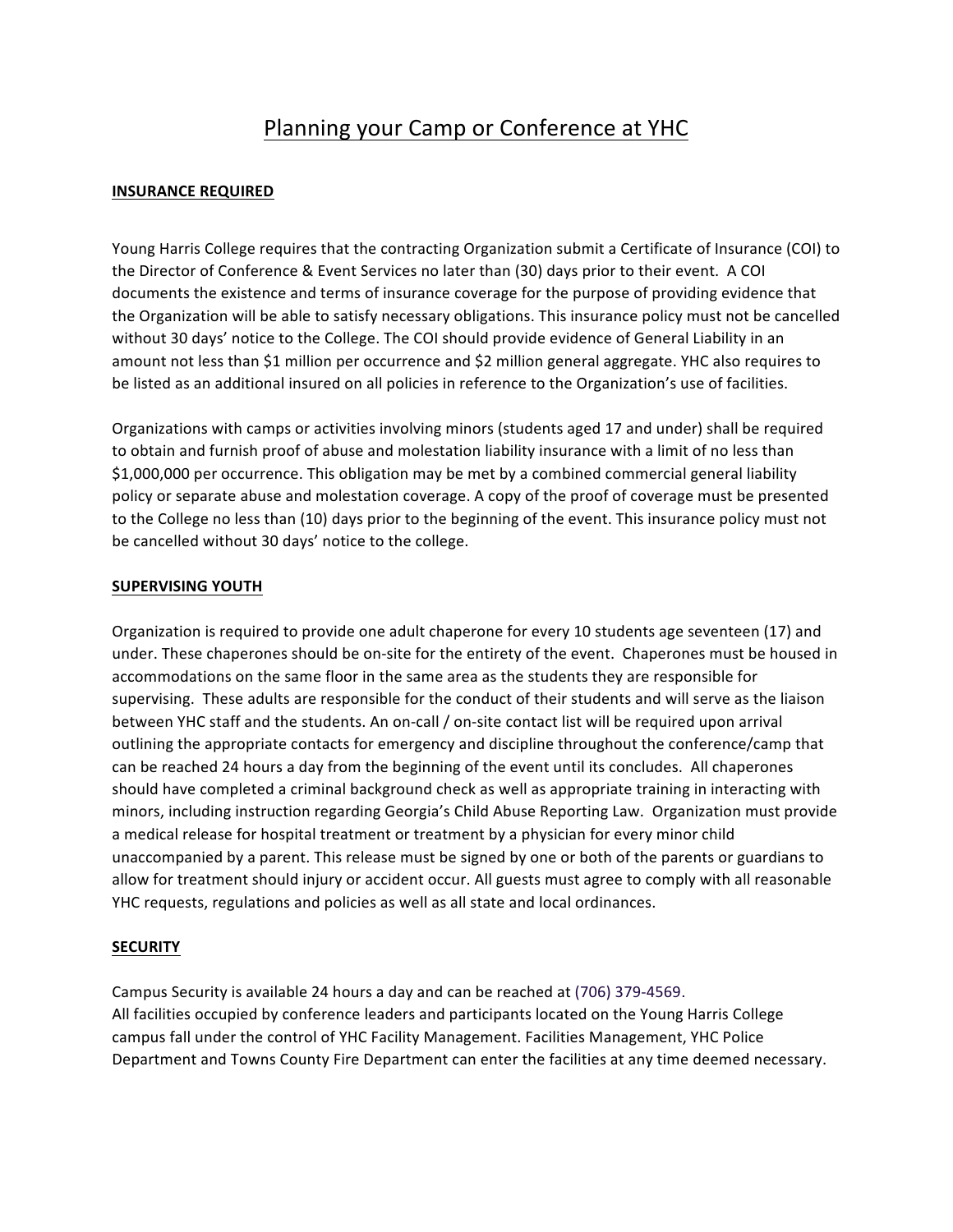# Planning your Camp or Conference at YHC

# **INSURANCE REQUIRED**

Young Harris College requires that the contracting Organization submit a Certificate of Insurance (COI) to the Director of Conference & Event Services no later than (30) days prior to their event. A COI documents the existence and terms of insurance coverage for the purpose of providing evidence that the Organization will be able to satisfy necessary obligations. This insurance policy must not be cancelled without 30 days' notice to the College. The COI should provide evidence of General Liability in an amount not less than \$1 million per occurrence and \$2 million general aggregate. YHC also requires to be listed as an additional insured on all policies in reference to the Organization's use of facilities.

Organizations with camps or activities involving minors (students aged 17 and under) shall be required to obtain and furnish proof of abuse and molestation liability insurance with a limit of no less than \$1,000,000 per occurrence. This obligation may be met by a combined commercial general liability policy or separate abuse and molestation coverage. A copy of the proof of coverage must be presented to the College no less than (10) days prior to the beginning of the event. This insurance policy must not be cancelled without 30 days' notice to the college.

# **SUPERVISING YOUTH**

Organization is required to provide one adult chaperone for every 10 students age seventeen (17) and under. These chaperones should be on-site for the entirety of the event. Chaperones must be housed in accommodations on the same floor in the same area as the students they are responsible for supervising. These adults are responsible for the conduct of their students and will serve as the liaison between YHC staff and the students. An on-call / on-site contact list will be required upon arrival outlining the appropriate contacts for emergency and discipline throughout the conference/camp that can be reached 24 hours a day from the beginning of the event until its concludes. All chaperones should have completed a criminal background check as well as appropriate training in interacting with minors, including instruction regarding Georgia's Child Abuse Reporting Law. Organization must provide a medical release for hospital treatment or treatment by a physician for every minor child unaccompanied by a parent. This release must be signed by one or both of the parents or guardians to allow for treatment should injury or accident occur. All guests must agree to comply with all reasonable YHC requests, regulations and policies as well as all state and local ordinances.

# **SECURITY**

Campus Security is available 24 hours a day and can be reached at (706) 379-4569. All facilities occupied by conference leaders and participants located on the Young Harris College campus fall under the control of YHC Facility Management. Facilities Management, YHC Police Department and Towns County Fire Department can enter the facilities at any time deemed necessary.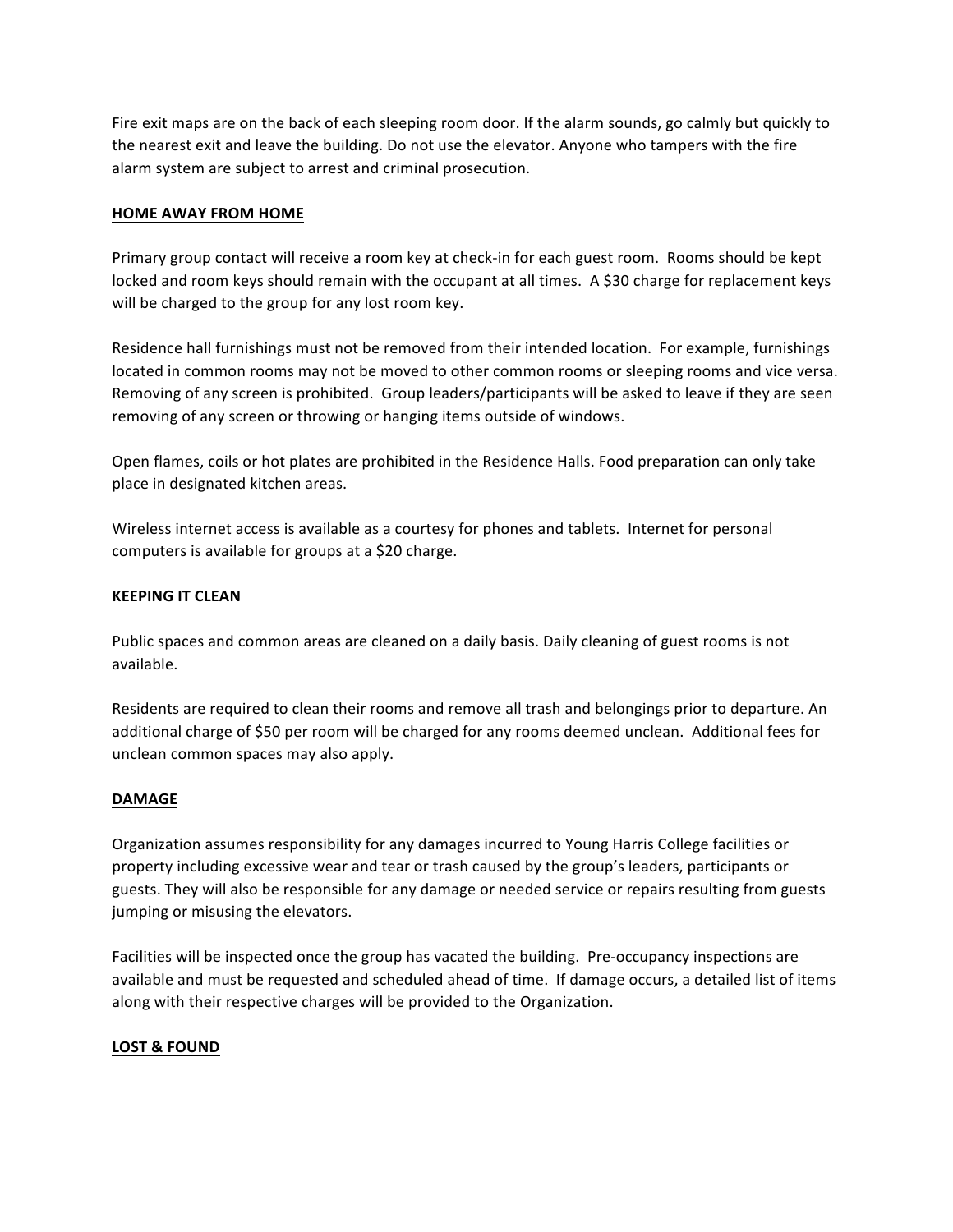Fire exit maps are on the back of each sleeping room door. If the alarm sounds, go calmly but quickly to the nearest exit and leave the building. Do not use the elevator. Anyone who tampers with the fire alarm system are subject to arrest and criminal prosecution.

### **HOME AWAY FROM HOME**

Primary group contact will receive a room key at check-in for each guest room. Rooms should be kept locked and room keys should remain with the occupant at all times. A \$30 charge for replacement keys will be charged to the group for any lost room key.

Residence hall furnishings must not be removed from their intended location. For example, furnishings located in common rooms may not be moved to other common rooms or sleeping rooms and vice versa. Removing of any screen is prohibited. Group leaders/participants will be asked to leave if they are seen removing of any screen or throwing or hanging items outside of windows.

Open flames, coils or hot plates are prohibited in the Residence Halls. Food preparation can only take place in designated kitchen areas.

Wireless internet access is available as a courtesy for phones and tablets. Internet for personal computers is available for groups at a \$20 charge.

#### **KEEPING IT CLEAN**

Public spaces and common areas are cleaned on a daily basis. Daily cleaning of guest rooms is not available.

Residents are required to clean their rooms and remove all trash and belongings prior to departure. An additional charge of \$50 per room will be charged for any rooms deemed unclean. Additional fees for unclean common spaces may also apply.

#### **DAMAGE**

Organization assumes responsibility for any damages incurred to Young Harris College facilities or property including excessive wear and tear or trash caused by the group's leaders, participants or guests. They will also be responsible for any damage or needed service or repairs resulting from guests jumping or misusing the elevators.

Facilities will be inspected once the group has vacated the building. Pre-occupancy inspections are available and must be requested and scheduled ahead of time. If damage occurs, a detailed list of items along with their respective charges will be provided to the Organization.

#### LOST & FOUND